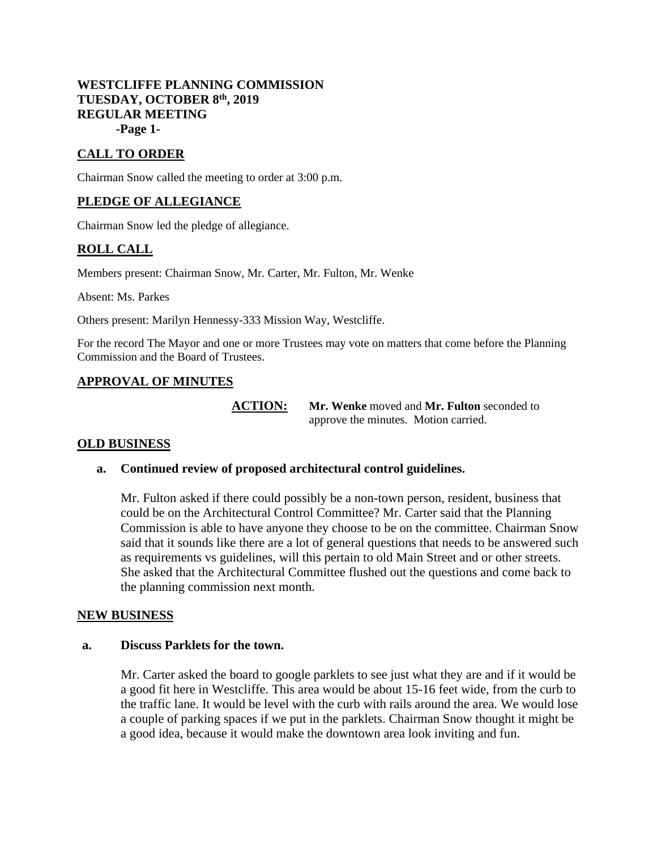# **WESTCLIFFE PLANNING COMMISSION TUESDAY, OCTOBER 8th, 2019 REGULAR MEETING -Page 1-**

# **CALL TO ORDER**

Chairman Snow called the meeting to order at 3:00 p.m.

# **PLEDGE OF ALLEGIANCE**

Chairman Snow led the pledge of allegiance.

# **ROLL CALL**

Members present: Chairman Snow, Mr. Carter, Mr. Fulton, Mr. Wenke

Absent: Ms. Parkes

Others present: Marilyn Hennessy-333 Mission Way, Westcliffe.

For the record The Mayor and one or more Trustees may vote on matters that come before the Planning Commission and the Board of Trustees.

# **APPROVAL OF MINUTES**

**ACTION: Mr. Wenke** moved and **Mr. Fulton** seconded to approve the minutes. Motion carried.

# **OLD BUSINESS**

# **a. Continued review of proposed architectural control guidelines.**

Mr. Fulton asked if there could possibly be a non-town person, resident, business that could be on the Architectural Control Committee? Mr. Carter said that the Planning Commission is able to have anyone they choose to be on the committee. Chairman Snow said that it sounds like there are a lot of general questions that needs to be answered such as requirements vs guidelines, will this pertain to old Main Street and or other streets. She asked that the Architectural Committee flushed out the questions and come back to the planning commission next month.

#### **NEW BUSINESS**

#### **a. Discuss Parklets for the town.**

Mr. Carter asked the board to google parklets to see just what they are and if it would be a good fit here in Westcliffe. This area would be about 15-16 feet wide, from the curb to the traffic lane. It would be level with the curb with rails around the area. We would lose a couple of parking spaces if we put in the parklets. Chairman Snow thought it might be a good idea, because it would make the downtown area look inviting and fun.